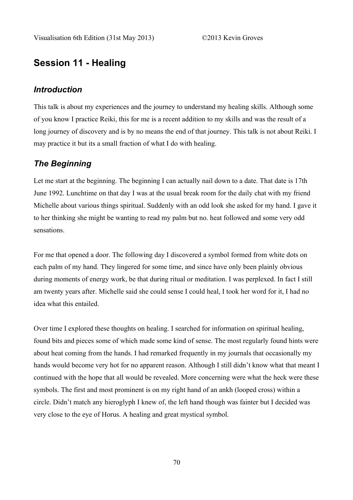# **Session 11 - Healing**

#### *Introduction*

This talk is about my experiences and the journey to understand my healing skills. Although some of you know I practice Reiki, this for me is a recent addition to my skills and was the result of a long journey of discovery and is by no means the end of that journey. This talk is not about Reiki. I may practice it but its a small fraction of what I do with healing.

### *The Beginning*

Let me start at the beginning. The beginning I can actually nail down to a date. That date is 17th June 1992. Lunchtime on that day I was at the usual break room for the daily chat with my friend Michelle about various things spiritual. Suddenly with an odd look she asked for my hand. I gave it to her thinking she might be wanting to read my palm but no. heat followed and some very odd sensations.

For me that opened a door. The following day I discovered a symbol formed from white dots on each palm of my hand. They lingered for some time, and since have only been plainly obvious during moments of energy work, be that during ritual or meditation. I was perplexed. In fact I still am twenty years after. Michelle said she could sense I could heal, I took her word for it, I had no idea what this entailed.

Over time I explored these thoughts on healing. I searched for information on spiritual healing, found bits and pieces some of which made some kind of sense. The most regularly found hints were about heat coming from the hands. I had remarked frequently in my journals that occasionally my hands would become very hot for no apparent reason. Although I still didn't know what that meant I continued with the hope that all would be revealed. More concerning were what the heck were these symbols. The first and most prominent is on my right hand of an ankh (looped cross) within a circle. Didn't match any hieroglyph I knew of, the left hand though was fainter but I decided was very close to the eye of Horus. A healing and great mystical symbol.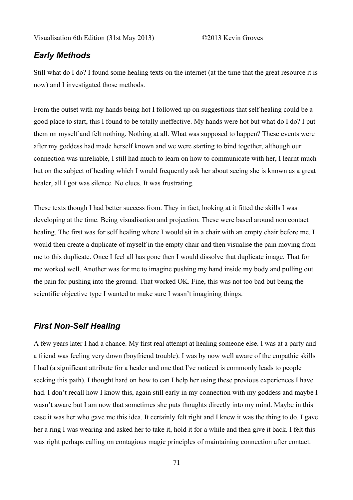#### *Early Methods*

Still what do I do? I found some healing texts on the internet (at the time that the great resource it is now) and I investigated those methods.

From the outset with my hands being hot I followed up on suggestions that self healing could be a good place to start, this I found to be totally ineffective. My hands were hot but what do I do? I put them on myself and felt nothing. Nothing at all. What was supposed to happen? These events were after my goddess had made herself known and we were starting to bind together, although our connection was unreliable, I still had much to learn on how to communicate with her, I learnt much but on the subject of healing which I would frequently ask her about seeing she is known as a great healer, all I got was silence. No clues. It was frustrating.

These texts though I had better success from. They in fact, looking at it fitted the skills I was developing at the time. Being visualisation and projection. These were based around non contact healing. The first was for self healing where I would sit in a chair with an empty chair before me. I would then create a duplicate of myself in the empty chair and then visualise the pain moving from me to this duplicate. Once I feel all has gone then I would dissolve that duplicate image. That for me worked well. Another was for me to imagine pushing my hand inside my body and pulling out the pain for pushing into the ground. That worked OK. Fine, this was not too bad but being the scientific objective type I wanted to make sure I wasn't imagining things.

### *First Non-Self Healing*

A few years later I had a chance. My first real attempt at healing someone else. I was at a party and a friend was feeling very down (boyfriend trouble). I was by now well aware of the empathic skills I had (a significant attribute for a healer and one that I've noticed is commonly leads to people seeking this path). I thought hard on how to can I help her using these previous experiences I have had. I don't recall how I know this, again still early in my connection with my goddess and maybe I wasn't aware but I am now that sometimes she puts thoughts directly into my mind. Maybe in this case it was her who gave me this idea. It certainly felt right and I knew it was the thing to do. I gave her a ring I was wearing and asked her to take it, hold it for a while and then give it back. I felt this was right perhaps calling on contagious magic principles of maintaining connection after contact.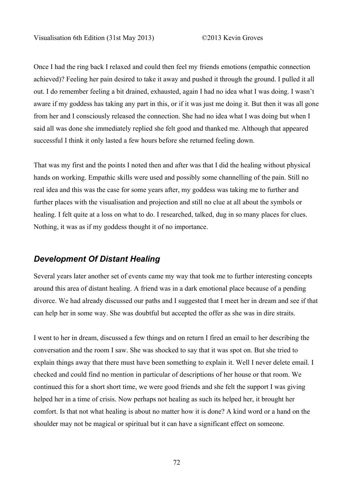Once I had the ring back I relaxed and could then feel my friends emotions (empathic connection achieved)? Feeling her pain desired to take it away and pushed it through the ground. I pulled it all out. I do remember feeling a bit drained, exhausted, again I had no idea what I was doing. I wasn't aware if my goddess has taking any part in this, or if it was just me doing it. But then it was all gone from her and I consciously released the connection. She had no idea what I was doing but when I said all was done she immediately replied she felt good and thanked me. Although that appeared successful I think it only lasted a few hours before she returned feeling down.

That was my first and the points I noted then and after was that I did the healing without physical hands on working. Empathic skills were used and possibly some channelling of the pain. Still no real idea and this was the case for some years after, my goddess was taking me to further and further places with the visualisation and projection and still no clue at all about the symbols or healing. I felt quite at a loss on what to do. I researched, talked, dug in so many places for clues. Nothing, it was as if my goddess thought it of no importance.

#### *Development Of Distant Healing*

Several years later another set of events came my way that took me to further interesting concepts around this area of distant healing. A friend was in a dark emotional place because of a pending divorce. We had already discussed our paths and I suggested that I meet her in dream and see if that can help her in some way. She was doubtful but accepted the offer as she was in dire straits.

I went to her in dream, discussed a few things and on return I fired an email to her describing the conversation and the room I saw. She was shocked to say that it was spot on. But she tried to explain things away that there must have been something to explain it. Well I never delete email. I checked and could find no mention in particular of descriptions of her house or that room. We continued this for a short short time, we were good friends and she felt the support I was giving helped her in a time of crisis. Now perhaps not healing as such its helped her, it brought her comfort. Is that not what healing is about no matter how it is done? A kind word or a hand on the shoulder may not be magical or spiritual but it can have a significant effect on someone.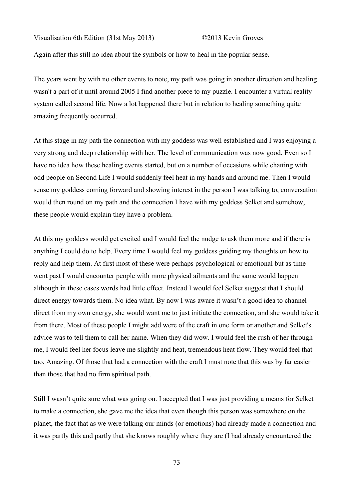Again after this still no idea about the symbols or how to heal in the popular sense.

The years went by with no other events to note, my path was going in another direction and healing wasn't a part of it until around 2005 I find another piece to my puzzle. I encounter a virtual reality system called second life. Now a lot happened there but in relation to healing something quite amazing frequently occurred.

At this stage in my path the connection with my goddess was well established and I was enjoying a very strong and deep relationship with her. The level of communication was now good. Even so I have no idea how these healing events started, but on a number of occasions while chatting with odd people on Second Life I would suddenly feel heat in my hands and around me. Then I would sense my goddess coming forward and showing interest in the person I was talking to, conversation would then round on my path and the connection I have with my goddess Selket and somehow, these people would explain they have a problem.

At this my goddess would get excited and I would feel the nudge to ask them more and if there is anything I could do to help. Every time I would feel my goddess guiding my thoughts on how to reply and help them. At first most of these were perhaps psychological or emotional but as time went past I would encounter people with more physical ailments and the same would happen although in these cases words had little effect. Instead I would feel Selket suggest that I should direct energy towards them. No idea what. By now I was aware it wasn't a good idea to channel direct from my own energy, she would want me to just initiate the connection, and she would take it from there. Most of these people I might add were of the craft in one form or another and Selket's advice was to tell them to call her name. When they did wow. I would feel the rush of her through me, I would feel her focus leave me slightly and heat, tremendous heat flow. They would feel that too. Amazing. Of those that had a connection with the craft I must note that this was by far easier than those that had no firm spiritual path.

Still I wasn't quite sure what was going on. I accepted that I was just providing a means for Selket to make a connection, she gave me the idea that even though this person was somewhere on the planet, the fact that as we were talking our minds (or emotions) had already made a connection and it was partly this and partly that she knows roughly where they are (I had already encountered the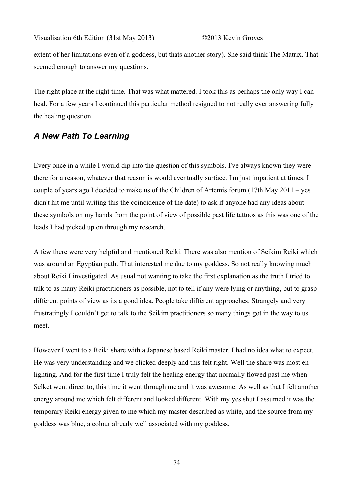extent of her limitations even of a goddess, but thats another story). She said think The Matrix. That seemed enough to answer my questions.

The right place at the right time. That was what mattered. I took this as perhaps the only way I can heal. For a few years I continued this particular method resigned to not really ever answering fully the healing question.

## *A New Path To Learning*

Every once in a while I would dip into the question of this symbols. I've always known they were there for a reason, whatever that reason is would eventually surface. I'm just impatient at times. I couple of years ago I decided to make us of the Children of Artemis forum (17th May 2011 – yes didn't hit me until writing this the coincidence of the date) to ask if anyone had any ideas about these symbols on my hands from the point of view of possible past life tattoos as this was one of the leads I had picked up on through my research.

A few there were very helpful and mentioned Reiki. There was also mention of Seikim Reiki which was around an Egyptian path. That interested me due to my goddess. So not really knowing much about Reiki I investigated. As usual not wanting to take the first explanation as the truth I tried to talk to as many Reiki practitioners as possible, not to tell if any were lying or anything, but to grasp different points of view as its a good idea. People take different approaches. Strangely and very frustratingly I couldn't get to talk to the Seikim practitioners so many things got in the way to us meet.

However I went to a Reiki share with a Japanese based Reiki master. I had no idea what to expect. He was very understanding and we clicked deeply and this felt right. Well the share was most enlighting. And for the first time I truly felt the healing energy that normally flowed past me when Selket went direct to, this time it went through me and it was awesome. As well as that I felt another energy around me which felt different and looked different. With my yes shut I assumed it was the temporary Reiki energy given to me which my master described as white, and the source from my goddess was blue, a colour already well associated with my goddess.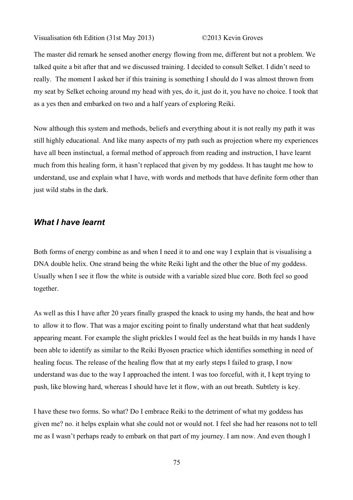The master did remark he sensed another energy flowing from me, different but not a problem. We talked quite a bit after that and we discussed training. I decided to consult Selket. I didn't need to really. The moment I asked her if this training is something I should do I was almost thrown from my seat by Selket echoing around my head with yes, do it, just do it, you have no choice. I took that as a yes then and embarked on two and a half years of exploring Reiki.

Now although this system and methods, beliefs and everything about it is not really my path it was still highly educational. And like many aspects of my path such as projection where my experiences have all been instinctual, a formal method of approach from reading and instruction, I have learnt much from this healing form, it hasn't replaced that given by my goddess. It has taught me how to understand, use and explain what I have, with words and methods that have definite form other than just wild stabs in the dark.

#### *What I have learnt*

Both forms of energy combine as and when I need it to and one way I explain that is visualising a DNA double helix. One strand being the white Reiki light and the other the blue of my goddess. Usually when I see it flow the white is outside with a variable sized blue core. Both feel so good together.

As well as this I have after 20 years finally grasped the knack to using my hands, the heat and how to allow it to flow. That was a major exciting point to finally understand what that heat suddenly appearing meant. For example the slight prickles I would feel as the heat builds in my hands I have been able to identify as similar to the Reiki Byosen practice which identifies something in need of healing focus. The release of the healing flow that at my early steps I failed to grasp, I now understand was due to the way I approached the intent. I was too forceful, with it, I kept trying to push, like blowing hard, whereas I should have let it flow, with an out breath. Subtlety is key.

I have these two forms. So what? Do I embrace Reiki to the detriment of what my goddess has given me? no. it helps explain what she could not or would not. I feel she had her reasons not to tell me as I wasn't perhaps ready to embark on that part of my journey. I am now. And even though I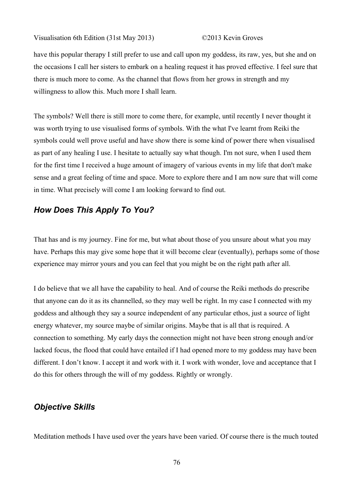have this popular therapy I still prefer to use and call upon my goddess, its raw, yes, but she and on the occasions I call her sisters to embark on a healing request it has proved effective. I feel sure that there is much more to come. As the channel that flows from her grows in strength and my willingness to allow this. Much more I shall learn.

The symbols? Well there is still more to come there, for example, until recently I never thought it was worth trying to use visualised forms of symbols. With the what I've learnt from Reiki the symbols could well prove useful and have show there is some kind of power there when visualised as part of any healing I use. I hesitate to actually say what though. I'm not sure, when I used them for the first time I received a huge amount of imagery of various events in my life that don't make sense and a great feeling of time and space. More to explore there and I am now sure that will come in time. What precisely will come I am looking forward to find out.

## *How Does This Apply To You?*

That has and is my journey. Fine for me, but what about those of you unsure about what you may have. Perhaps this may give some hope that it will become clear (eventually), perhaps some of those experience may mirror yours and you can feel that you might be on the right path after all.

I do believe that we all have the capability to heal. And of course the Reiki methods do prescribe that anyone can do it as its channelled, so they may well be right. In my case I connected with my goddess and although they say a source independent of any particular ethos, just a source of light energy whatever, my source maybe of similar origins. Maybe that is all that is required. A connection to something. My early days the connection might not have been strong enough and/or lacked focus, the flood that could have entailed if I had opened more to my goddess may have been different. I don't know. I accept it and work with it. I work with wonder, love and acceptance that I do this for others through the will of my goddess. Rightly or wrongly.

### *Objective Skills*

Meditation methods I have used over the years have been varied. Of course there is the much touted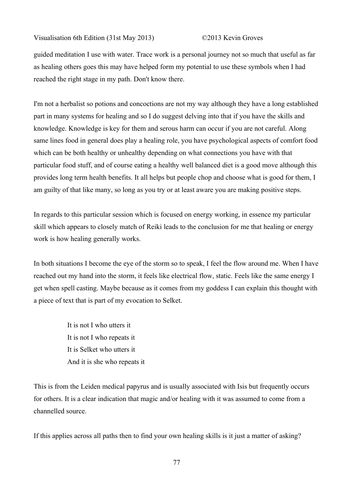guided meditation I use with water. Trace work is a personal journey not so much that useful as far as healing others goes this may have helped form my potential to use these symbols when I had reached the right stage in my path. Don't know there.

I'm not a herbalist so potions and concoctions are not my way although they have a long established part in many systems for healing and so I do suggest delving into that if you have the skills and knowledge. Knowledge is key for them and serous harm can occur if you are not careful. Along same lines food in general does play a healing role, you have psychological aspects of comfort food which can be both healthy or unhealthy depending on what connections you have with that particular food stuff, and of course eating a healthy well balanced diet is a good move although this provides long term health benefits. It all helps but people chop and choose what is good for them, I am guilty of that like many, so long as you try or at least aware you are making positive steps.

In regards to this particular session which is focused on energy working, in essence my particular skill which appears to closely match of Reiki leads to the conclusion for me that healing or energy work is how healing generally works.

In both situations I become the eye of the storm so to speak, I feel the flow around me. When I have reached out my hand into the storm, it feels like electrical flow, static. Feels like the same energy I get when spell casting. Maybe because as it comes from my goddess I can explain this thought with a piece of text that is part of my evocation to Selket.

> It is not I who utters it It is not I who repeats it It is Selket who utters it And it is she who repeats it

This is from the Leiden medical papyrus and is usually associated with Isis but frequently occurs for others. It is a clear indication that magic and/or healing with it was assumed to come from a channelled source.

If this applies across all paths then to find your own healing skills is it just a matter of asking?